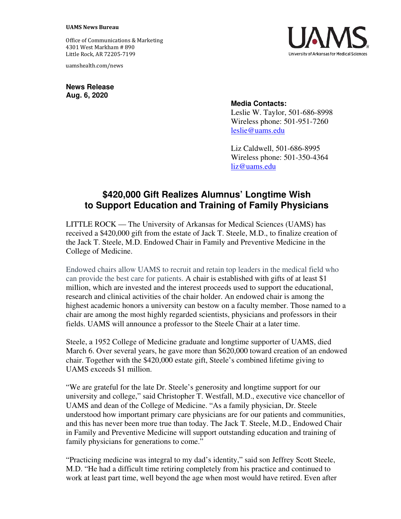Office of Communications & Marketing 4301 West Markham # 890 Little Rock, AR 72205-7199

uamshealth.com/news



**News Release Aug. 6, 2020**

## **Media Contacts:**

Leslie W. Taylor, 501-686-8998 Wireless phone: 501-951-7260 [leslie@uams.edu](mailto:leslie@uams.edu)

Liz Caldwell, 501-686-8995 Wireless phone: 501-350-4364 [liz@uams.edu](mailto:liz@uams.edu)

## **\$420,000 Gift Realizes Alumnus' Longtime Wish to Support Education and Training of Family Physicians**

LITTLE ROCK — The University of Arkansas for Medical Sciences (UAMS) has received a \$420,000 gift from the estate of Jack T. Steele, M.D., to finalize creation of the Jack T. Steele, M.D. Endowed Chair in Family and Preventive Medicine in the College of Medicine.

Endowed chairs allow UAMS to recruit and retain top leaders in the medical field who can provide the best care for patients. A chair is established with gifts of at least \$1 million, which are invested and the interest proceeds used to support the educational, research and clinical activities of the chair holder. An endowed chair is among the highest academic honors a university can bestow on a faculty member. Those named to a chair are among the most highly regarded scientists, physicians and professors in their fields. UAMS will announce a professor to the Steele Chair at a later time.

Steele, a 1952 College of Medicine graduate and longtime supporter of UAMS, died March 6. Over several years, he gave more than \$620,000 toward creation of an endowed chair. Together with the \$420,000 estate gift, Steele's combined lifetime giving to UAMS exceeds \$1 million.

"We are grateful for the late Dr. Steele's generosity and longtime support for our university and college," said Christopher T. Westfall, M.D., executive vice chancellor of UAMS and dean of the College of Medicine. "As a family physician, Dr. Steele understood how important primary care physicians are for our patients and communities, and this has never been more true than today. The Jack T. Steele, M.D., Endowed Chair in Family and Preventive Medicine will support outstanding education and training of family physicians for generations to come."

"Practicing medicine was integral to my dad's identity," said son Jeffrey Scott Steele, M.D. "He had a difficult time retiring completely from his practice and continued to work at least part time, well beyond the age when most would have retired. Even after